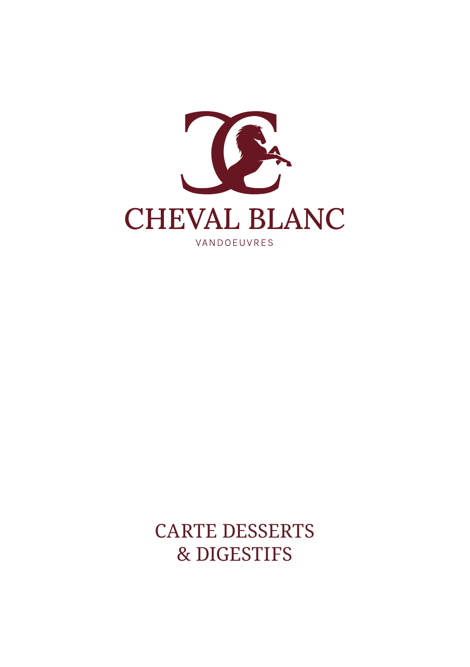

CARTE DESSERTS & DIGESTIFS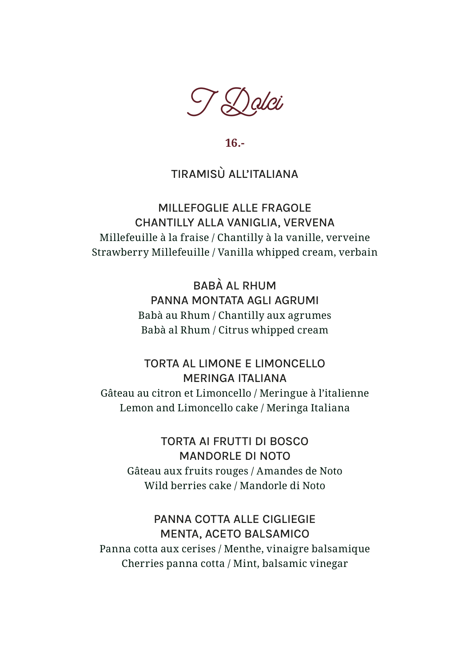

**16.-**

#### TIRAMISÙ ALL'ITALIANA

MILLEFOGLIE ALLE FRAGOLE CHANTILLY ALLA VANIGLIA, VERVENA Millefeuille à la fraise / Chantilly à la vanille, verveine Strawberry Millefeuille / Vanilla whipped cream, verbain

> BABÀ AL RHUM PANNA MONTATA AGLI AGRUMI Babà au Rhum / Chantilly aux agrumes Babà al Rhum / Citrus whipped cream

TORTA AL LIMONE E LIMONCELLO MERINGA ITALIANA Gâteau au citron et Limoncello / Meringue à l'italienne Lemon and Limoncello cake / Meringa Italiana

TORTA AI FRUTTI DI BOSCO MANDORLE DI NOTO Gâteau aux fruits rouges / Amandes de Noto Wild berries cake / Mandorle di Noto

PANNA COTTA ALLE CIGLIEGIE MENTA, ACETO BALSAMICO Panna cotta aux cerises / Menthe, vinaigre balsamique Cherries panna cotta / Mint, balsamic vinegar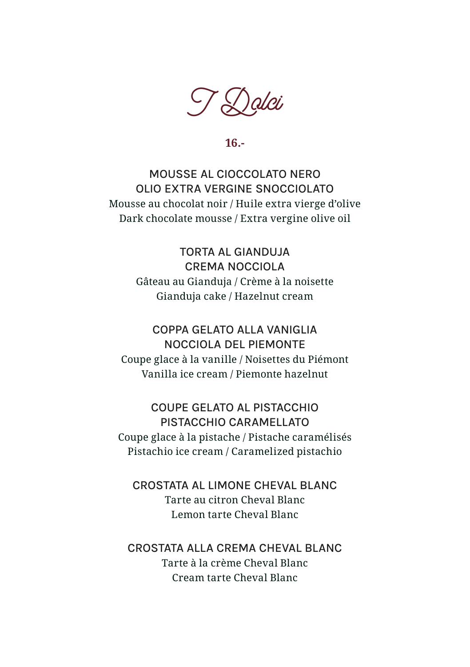$\bigvee \bigotimes$ alci

**16.-**

MOUSSE AL CIOCCOLATO NERO OLIO EXTRA VERGINE SNOCCIOLATO Mousse au chocolat noir / Huile extra vierge d'olive Dark chocolate mousse / Extra vergine olive oil

> TORTA AL GIANDUJA CREMA NOCCIOLA Gâteau au Gianduja / Crème à la noisette Gianduja cake / Hazelnut cream

COPPA GELATO ALLA VANIGLIA NOCCIOLA DEL PIEMONTE Coupe glace à la vanille / Noisettes du Piémont Vanilla ice cream / Piemonte hazelnut

COUPE GELATO AL PISTACCHIO PISTACCHIO CARAMELLATO Coupe glace à la pistache / Pistache caramélisés Pistachio ice cream / Caramelized pistachio

CROSTATA AL LIMONE CHEVAL BLANC Tarte au citron Cheval Blanc Lemon tarte Cheval Blanc

CROSTATA ALLA CREMA CHEVAL BLANC Tarte à la crème Cheval Blanc Cream tarte Cheval Blanc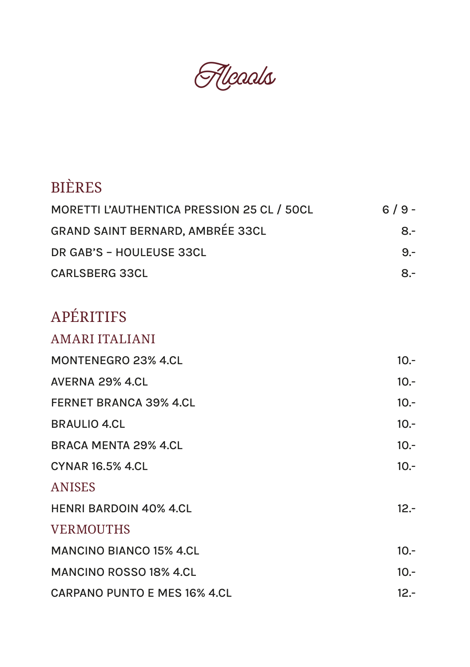Fleads

# BIÈRES

| MORETTI L'AUTHENTICA PRESSION 25 CL / 50CL | $6/9 -$        |
|--------------------------------------------|----------------|
| <b>GRAND SAINT BERNARD, AMBRÉE 33CL</b>    | $8-$           |
| DR GAB'S - HOULEUSE 33CL                   | $9 -$          |
| CARLSBERG 33CL                             | $\mathsf{R}$ – |

# APÉRITIFS

AMARI ITALIANI

| MONTENEGRO 23% 4.CL           | $10.-$ |
|-------------------------------|--------|
| AVERNA 29% 4.CL               | $10.-$ |
| <b>FERNET BRANCA 39% 4.CL</b> | $10.-$ |
| <b>BRAULIO 4.CL</b>           | $10.-$ |
| BRACA MENTA 29% 4.CL          | $10.-$ |
| CYNAR 16.5% 4.CL              | $10 -$ |
| <b>ANISES</b>                 |        |
| <b>HENRI BARDOIN 40% 4.CL</b> | $12 -$ |
| <b>VERMOUTHS</b>              |        |
| MANCINO BIANCO 15% 4.CL       | $10 -$ |
| <b>MANCINO ROSSO 18% 4.CL</b> | $10.-$ |
| CARPANO PUNTO E MES 16% 4.CL  | $12 -$ |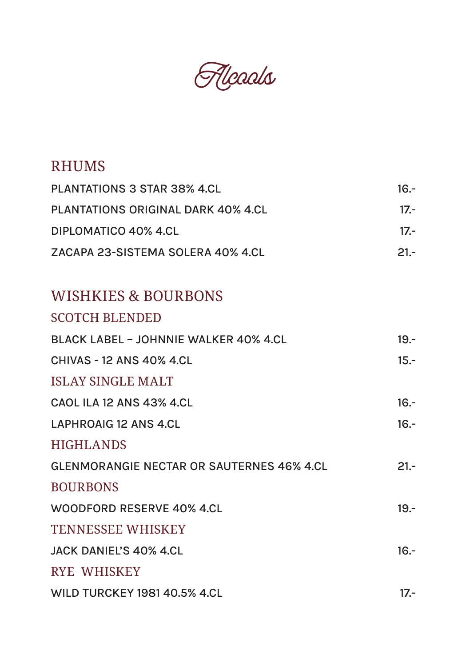Fleaals

## RHUMS

| PLANTATIONS 3 STAR 38% 4.CL        | 16.-   |  |
|------------------------------------|--------|--|
| PLANTATIONS ORIGINAL DARK 40% 4.CL | $17 -$ |  |
| DIPLOMATICO 40% 4.CL               | $17 -$ |  |
| ZACAPA 23-SISTEMA SOLERA 40% 4.CL  | $21 -$ |  |

#### WISHKIES & BOURBONS

| <b>SCOTCH BLENDED</b>                            |         |
|--------------------------------------------------|---------|
| BLACK LABEL - JOHNNIE WALKER 40% 4.CL            | $19. -$ |
| <b>CHIVAS - 12 ANS 40% 4.CL</b>                  | $15.-$  |
| <b>ISLAY SINGLE MALT</b>                         |         |
| CAOL ILA 12 ANS 43% 4.CL                         | $16 -$  |
| LAPHROAIG 12 ANS 4.CL                            | $16 -$  |
| <b>HIGHLANDS</b>                                 |         |
| <b>GLENMORANGIE NECTAR OR SAUTERNES 46% 4.CL</b> | $21 -$  |
| <b>BOURBONS</b>                                  |         |
| WOODFORD RESERVE 40% 4.CL                        | $19 -$  |
| <b>TENNESSEE WHISKEY</b>                         |         |
| JACK DANIEL'S 40% 4.CL                           | $16 -$  |
| <b>RYE WHISKEY</b>                               |         |
| WILD TURCKEY 1981 40.5% 4.CL                     | $17 -$  |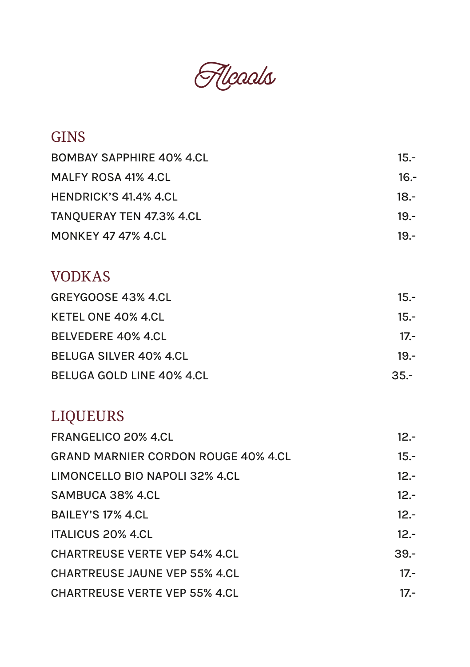

## **GINS**

| <b>BOMBAY SAPPHIRE 40% 4.CL</b> | $15 -$ |
|---------------------------------|--------|
| MALFY ROSA 41% 4.CL             | $16 -$ |
| HENDRICK'S 41.4% 4.CL           | 18.-   |
| TANQUERAY TEN 47.3% 4.CL        | $19 -$ |
| <b>MONKEY 47 47% 4.CL</b>       | $19 -$ |

## VODKAS

| GREYGOOSE 43% 4.CL        | $15.-$ |
|---------------------------|--------|
| KETEL ONE 40% 4.CL        | $15 -$ |
| <b>BELVEDERE 40% 4.CL</b> | $17 -$ |
| BELUGA SILVER 40% 4.CL    | $19 -$ |
| BELUGA GOLD LINE 40% 4.CL | $35 -$ |

## LIQUEURS

| <b>FRANGELICO 20% 4.CL</b>                 | $12 -$ |
|--------------------------------------------|--------|
| <b>GRAND MARNIER CORDON ROUGE 40% 4.CL</b> | $15.-$ |
| LIMONCELLO BIO NAPOLI 32% 4.CL             | $12 -$ |
| SAMBUCA 38% 4.CL                           | $12 -$ |
| <b>BAILEY'S 17% 4.CL</b>                   | $12 -$ |
| <b>ITALICUS 20% 4.CL</b>                   | $12 -$ |
| <b>CHARTREUSE VERTE VEP 54% 4.CL</b>       | $39 -$ |
| <b>CHARTREUSE JAUNE VEP 55% 4.CL</b>       | $17 -$ |
| <b>CHARTREUSE VERTE VEP 55% 4.CL</b>       | $17 -$ |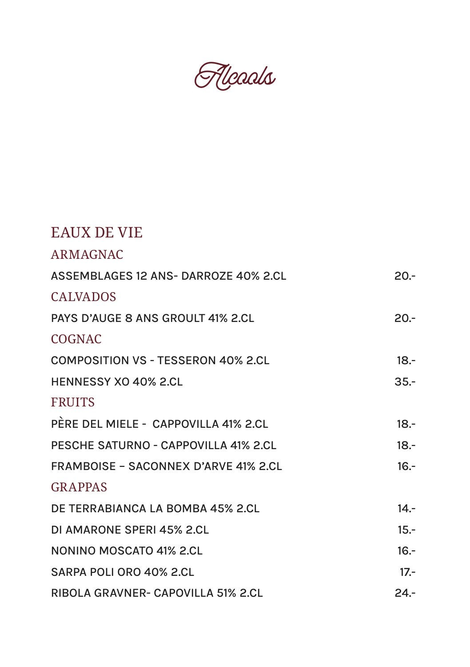Fleads

| EAUX DE VIE                                 |        |
|---------------------------------------------|--------|
| <b>ARMAGNAC</b>                             |        |
| ASSEMBLAGES 12 ANS-DARROZE 40% 2.CL         | $20 -$ |
| <b>CALVADOS</b>                             |        |
| PAYS D'AUGE 8 ANS GROULT 41% 2.CL           | $20 -$ |
| <b>COGNAC</b>                               |        |
| <b>COMPOSITION VS - TESSERON 40% 2.CL</b>   | $18 -$ |
| <b>HENNESSY XO 40% 2.CL</b>                 | $35 -$ |
| <b>FRUITS</b>                               |        |
| PÈRE DEL MIELE - CAPPOVILLA 41% 2.CL        | $18 -$ |
| PESCHE SATURNO - CAPPOVILLA 41% 2.CL        | $18 -$ |
| <b>FRAMBOISE - SACONNEX D'ARVE 41% 2.CL</b> | $16 -$ |
| <b>GRAPPAS</b>                              |        |
| DE TERRABIANCA LA BOMBA 45% 2.CL            | $14 -$ |
| DI AMARONE SPERI 45% 2.CL                   | $15.-$ |
| NONINO MOSCATO 41% 2.CL                     | $16 -$ |
| SARPA POLI ORO 40% 2.CL                     | $17 -$ |
| RIBOLA GRAVNER- CAPOVILLA 51% 2.CL          | $24 -$ |